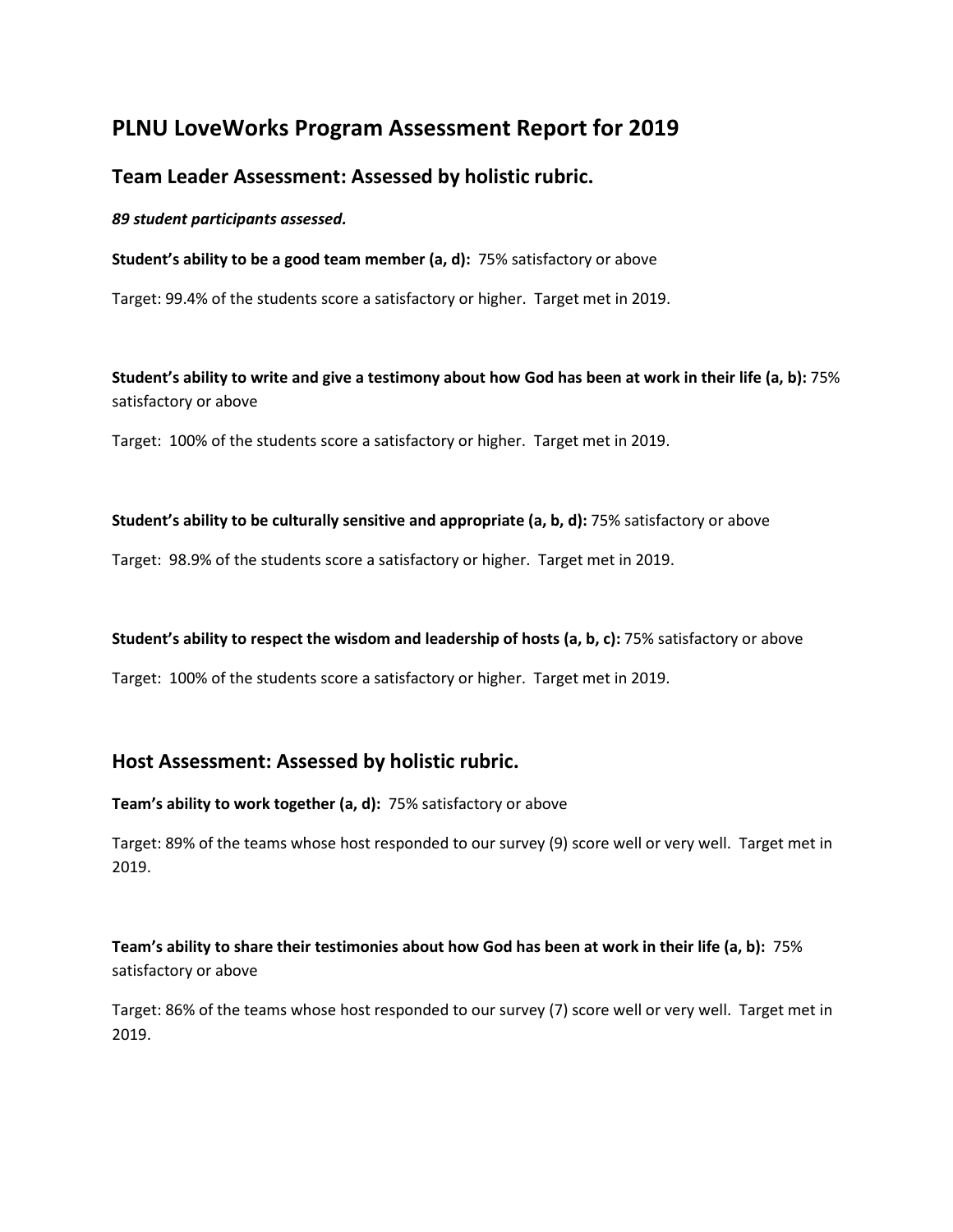# **PLNU LoveWorks Program Assessment Report for 2019**

## **Team Leader Assessment: Assessed by holistic rubric.**

*89 student participants assessed.*

**Student's ability to be a good team member (a, d):** 75% satisfactory or above

Target: 99.4% of the students score a satisfactory or higher. Target met in 2019.

**Student's ability to write and give a testimony about how God has been at work in their life (a, b):** 75% satisfactory or above

Target: 100% of the students score a satisfactory or higher. Target met in 2019.

**Student's ability to be culturally sensitive and appropriate (a, b, d):** 75% satisfactory or above

Target: 98.9% of the students score a satisfactory or higher. Target met in 2019.

### **Student's ability to respect the wisdom and leadership of hosts (a, b, c):** 75% satisfactory or above

Target: 100% of the students score a satisfactory or higher. Target met in 2019.

## **Host Assessment: Assessed by holistic rubric.**

**Team's ability to work together (a, d):** 75% satisfactory or above

Target: 89% of the teams whose host responded to our survey (9) score well or very well. Target met in 2019.

## **Team's ability to share their testimonies about how God has been at work in their life (a, b):** 75% satisfactory or above

Target: 86% of the teams whose host responded to our survey (7) score well or very well. Target met in 2019.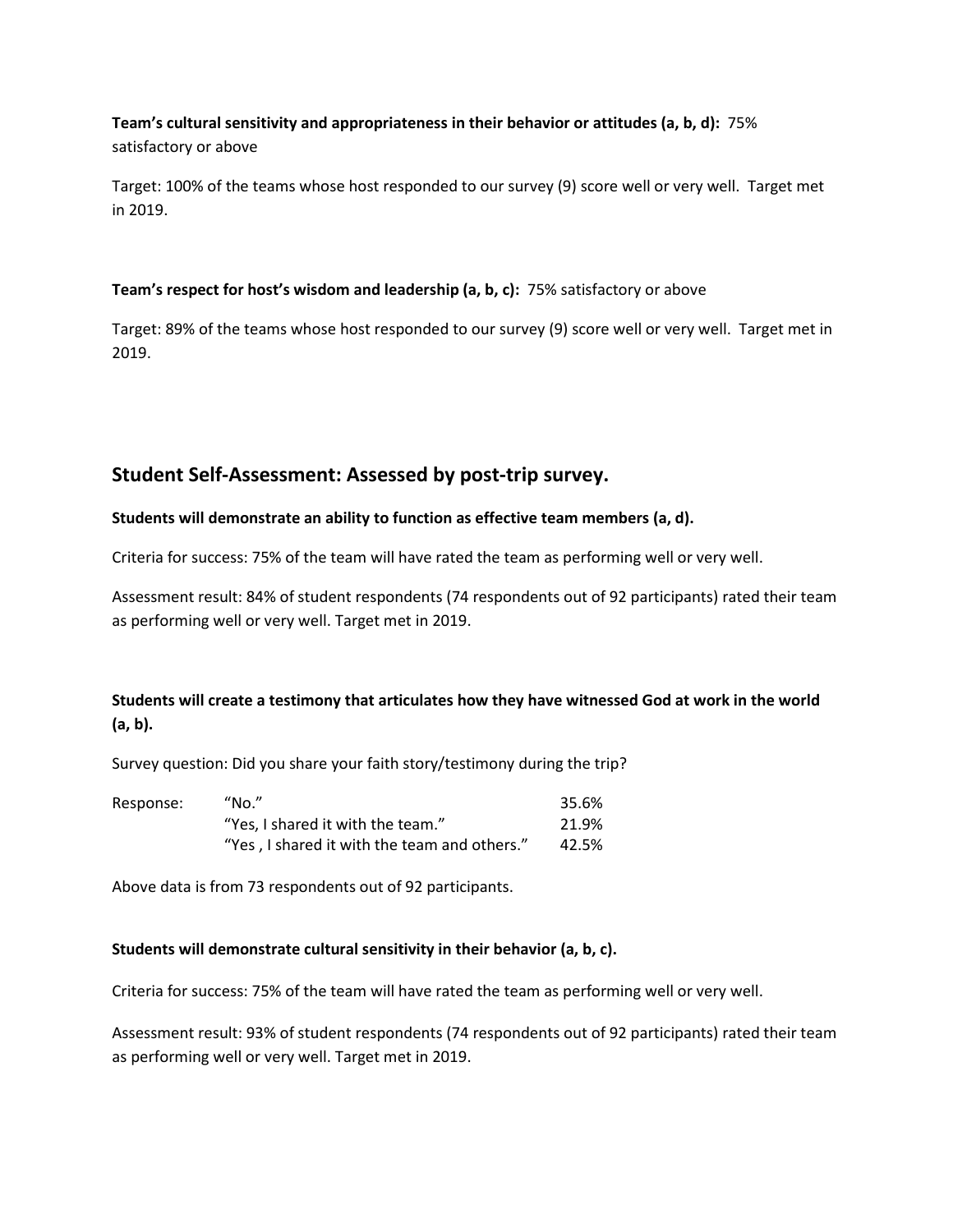## **Team's cultural sensitivity and appropriateness in their behavior or attitudes (a, b, d):** 75% satisfactory or above

Target: 100% of the teams whose host responded to our survey (9) score well or very well. Target met in 2019.

### **Team's respect for host's wisdom and leadership (a, b, c):** 75% satisfactory or above

Target: 89% of the teams whose host responded to our survey (9) score well or very well. Target met in 2019.

## **Student Self-Assessment: Assessed by post-trip survey.**

## **Students will demonstrate an ability to function as effective team members (a, d).**

Criteria for success: 75% of the team will have rated the team as performing well or very well.

Assessment result: 84% of student respondents (74 respondents out of 92 participants) rated their team as performing well or very well. Target met in 2019.

## **Students will create a testimony that articulates how they have witnessed God at work in the world (a, b).**

Survey question: Did you share your faith story/testimony during the trip?

| Response: | "No."                                        | 35.6% |
|-----------|----------------------------------------------|-------|
|           | "Yes, I shared it with the team."            | 21.9% |
|           | "Yes, I shared it with the team and others." | 42.5% |

Above data is from 73 respondents out of 92 participants.

### **Students will demonstrate cultural sensitivity in their behavior (a, b, c).**

Criteria for success: 75% of the team will have rated the team as performing well or very well.

Assessment result: 93% of student respondents (74 respondents out of 92 participants) rated their team as performing well or very well. Target met in 2019.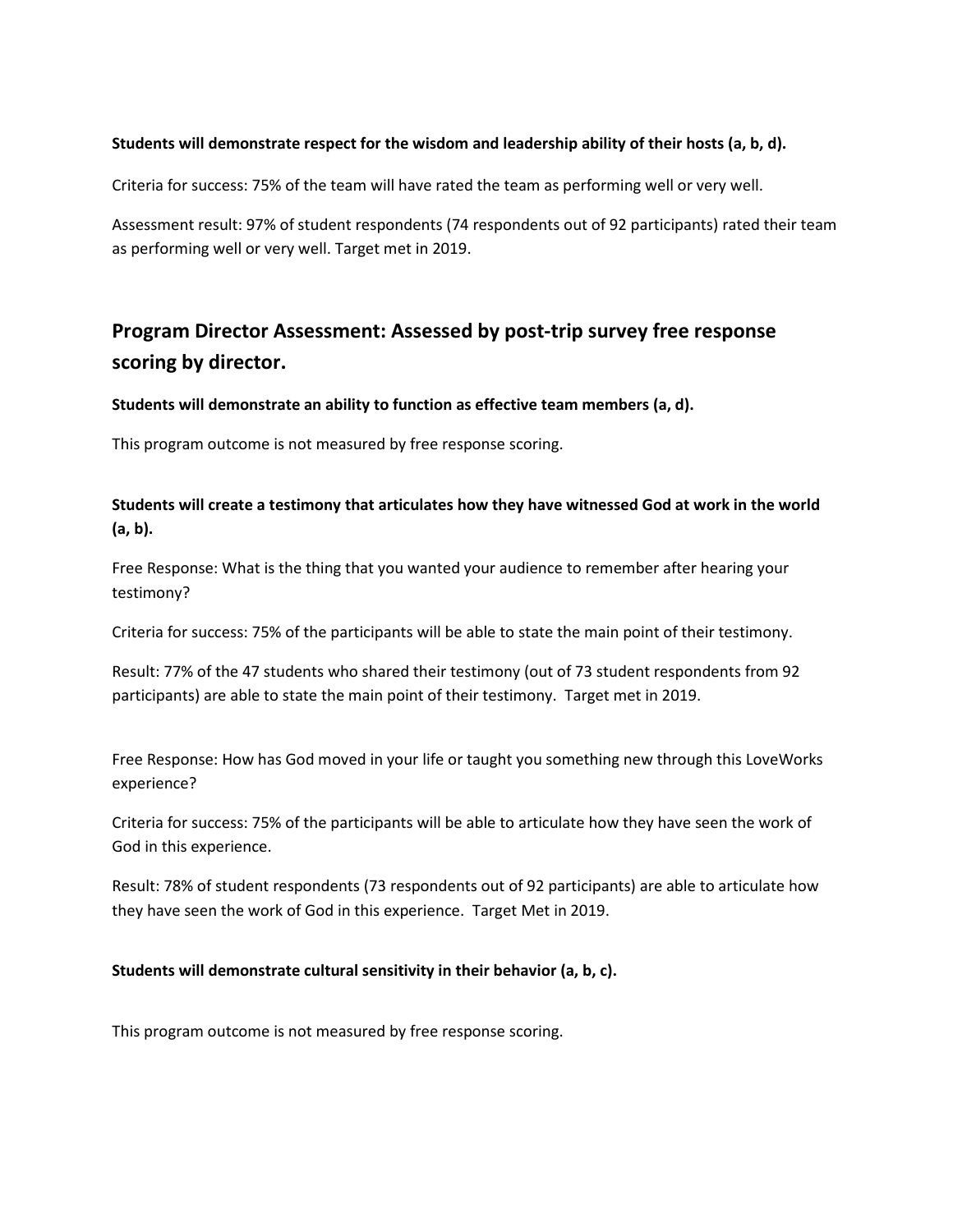### **Students will demonstrate respect for the wisdom and leadership ability of their hosts (a, b, d).**

Criteria for success: 75% of the team will have rated the team as performing well or very well.

Assessment result: 97% of student respondents (74 respondents out of 92 participants) rated their team as performing well or very well. Target met in 2019.

# **Program Director Assessment: Assessed by post-trip survey free response scoring by director.**

#### **Students will demonstrate an ability to function as effective team members (a, d).**

This program outcome is not measured by free response scoring.

## **Students will create a testimony that articulates how they have witnessed God at work in the world (a, b).**

Free Response: What is the thing that you wanted your audience to remember after hearing your testimony?

Criteria for success: 75% of the participants will be able to state the main point of their testimony.

Result: 77% of the 47 students who shared their testimony (out of 73 student respondents from 92 participants) are able to state the main point of their testimony. Target met in 2019.

Free Response: How has God moved in your life or taught you something new through this LoveWorks experience?

Criteria for success: 75% of the participants will be able to articulate how they have seen the work of God in this experience.

Result: 78% of student respondents (73 respondents out of 92 participants) are able to articulate how they have seen the work of God in this experience. Target Met in 2019.

### **Students will demonstrate cultural sensitivity in their behavior (a, b, c).**

This program outcome is not measured by free response scoring.